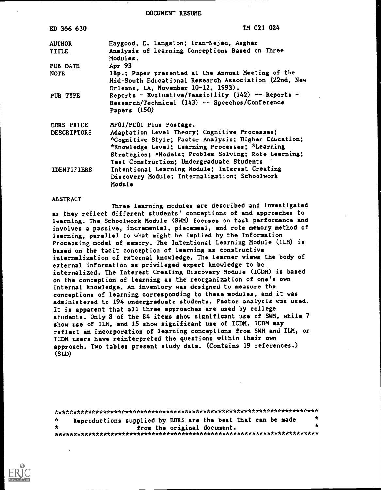DOCUMENT RESUME

| ED 366 630         | TM 021 024                                                                                                               |
|--------------------|--------------------------------------------------------------------------------------------------------------------------|
| <b>AUTHOR</b>      | Haygood, E. Langston; Iran-Nejad, Asghar                                                                                 |
| <b>TITLE</b>       | Analysis of Learning Conceptions Based on Three<br>Modules.                                                              |
| PUB DATE           | Apr 93                                                                                                                   |
| <b>NOTE</b>        | 18p.; Paper presented at the Annual Meeting of the                                                                       |
|                    | Mid-South Educational Research Association (22nd, New<br>Orleans, LA, November 10-12, 1993).                             |
| PUB TYPE           | Reports - Evaluative/Feasibility (142) -- Reports -<br>Research/Technical (143) -- Speeches/Conference<br>Papers $(150)$ |
| <b>EDRS PRICE</b>  | MF01/PC01 Plus Postage.                                                                                                  |
| <b>DESCRIPTORS</b> | Adaptation Level Theory; Cognitive Processes;                                                                            |
|                    | *Cognitive Style; Factor Analysis; Higher Education;                                                                     |
|                    | *Knowledge Level; Learning Processes; *Learning                                                                          |
|                    | Strategies; *Models; Problem Solving; Rote Learning;                                                                     |
|                    | Test Construction; Undergraduate Students                                                                                |
| <b>IDENTIFIERS</b> | Intentional Learning Module; Interest Creating                                                                           |
|                    | Discovery Module; Internalization; Schoolwork<br>Module                                                                  |

#### ABSTRACT

Three learning modules are described and investigated as they reflect different students' conceptions of and approaches to learning. The Schoolwork Module (SWM) focuses on task performance and involves a passive, incremental, piecemeal, and rote memory method of learning, parallel to what might be implied by the Information Processing model of memory. The Intentional Learning Module (ILM) is based on the tacit conception of learning as constructive internalization of external knowledge. The learner views the body of external information as privileged expert knowledge to be internalized. The Interest Creating Discovery Module (ICDM) is based on the conception of learning as the reorganization of one's own internal knowledge. An inventory was designed to measure the conceptions of learning corresponding to these modules, and it was administered to 194 undergraduate students. Factor analysis was used. It is apparent that all three approaches are used by college students. Only 8 of the 84 items show significant use of SWM, while 7 show use of ILM, and 15 show significant use of ICDM. ICDM may reflect an incorporation of learning conceptions from SWM and ILM, or ICDM users have reinterpreted the questions within their own approach. Two tables present study data. (Contains 19 references.) (SLD)

| $\star$ | Reproductions supplied by EDRS are the best that can be made |  |                             |  |  | $\star$ |
|---------|--------------------------------------------------------------|--|-----------------------------|--|--|---------|
| $\star$ |                                                              |  | from the original document. |  |  |         |
|         |                                                              |  |                             |  |  |         |

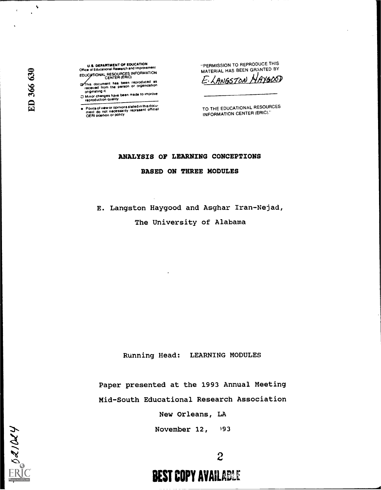U.S. DEPARTMENT OF EDUCATION Office ot Educational Research and Improvement EDUCATIONAL RESOURCES INFORMATION

his document has been reproduced as received trom the parson Or organization originating it.

□ Minor changes have been made to improve<br>reproduction quality

Pointa of view or opinions stated in this docu-<br>ment .do. not. necessarily .represent. official<br>OERI position or policy

"PERMISSION TO REPRODUCE THIS MATERIAL HAS BEEN GRANTED BY E. LANGSTON HAYGOSD

TO THE EDUCATIONAL RESOURCES INFORMATION CENTER (ERIC)."

## ANALYSIS OF LEARNING CONCEPTIONS

#### BASED ON THREE MODULES

E. Langston Haygood and Asghar Iran-Nejad,

The University of Alabama

Running Head: LEARNING MODULES

Paper presented at the 1993 Annual Meeting Mid-South Educational Research Association

New Orleans, LA

November 12,  $93$ 



 $ER0d/14$ 

 $\mathcal{A}_{\mathbf{r}}$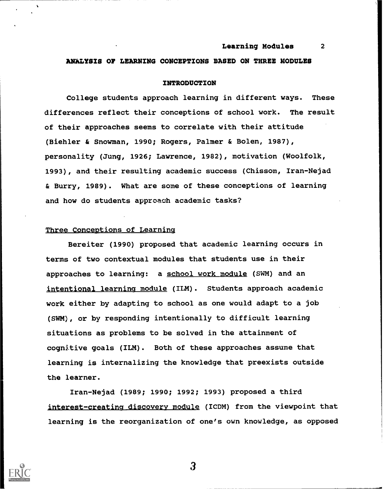# ANALYSIS OF LEARNING CONCEPTIONS BASED ON THREE MODULES

## INTRODUCTION

College students approach learning in different ways. These differences reflect their conceptions of school work. The result of their approaches seems to correlate with their attitude (Biehler & Snowman, 1990; Rogers, Palmer & Bolen, 1987), personality (Jung, 1926; Lawrence, 1982), motivation (Woolfolk, 1993), and their resulting academic success (Chissom, Iran-Nejad & Burry, 1989). What are some of these conceptions of learning and how do students approach academic tasks?

# Three Conceptions of Learning

Bereiter (1990) proposed that academic learning occurs in terms of two contextual modules that students use in their approaches to learning: a school work module (SWM) and an intentional learning module (ILM). Students approach academic work either by adapting to school as one would adapt to a job (SWM), or by responding intentionally to difficult learning situations as problems to be solved in the attainment of cognitive goals (ILM). Both of these approaches assume that learning is internalizing the knowledge that preexists outside the learner.

Iran-Nejad (1989; 1990; 1992; 1993) proposed a third interest-creating discovery module (ICDM) from the viewpoint that learning is the reorganization of one's own knowledge, as opposed

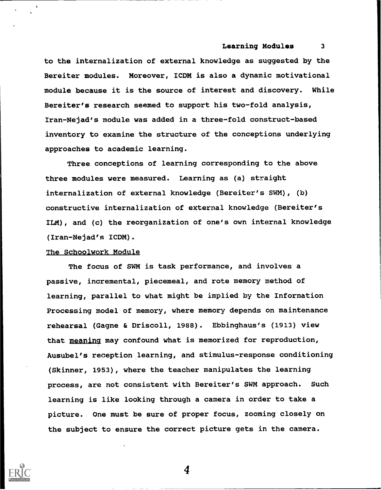to the internalization of external knowledge as suggested by the Bereiter modules. Moreover, ICDM is also a dynamic motivational module because it is the source of interest and discovery. While Bereiter's research seemed to support his two-fold analysis, Iran-Nejad's module was added in a three-fold construct-based inventory to examine the structure of the conceptions underlying approaches to academic learning.

Three conceptions of learning corresponding to the above three modules were measured. Learning as (a) straight internalization of external knowledge (Bereiter's SWM), (b) constructive internalization of external knowledge (Bereiter's ILM), and (c) the reorganization of one's own internal knowledge (Iran-Nejad's ICDM).

#### The Schoolwork Module

The focus of SWM is task performance, and involves a passive, incremental, piecemeal, and rote memory method of learning, parallel to what might be implied by the Information Processing model of memory, where memory depends on maintenance rehearsal (Gagne & Driscoll, 1988). Ebbinghaus's (1913) view that meaning may confound what is memorized for reproduction, Ausubel's reception learning, and stimulus-response conditioning (Skinner, 1953), where the teacher manipulates the learning process, are not consistent with Bereiter's SWM approach. Such learning is like looking through a camera in order to take a picture. One must be sure of proper focus, zooming closely on the subject to ensure the correct picture gets in the camera.

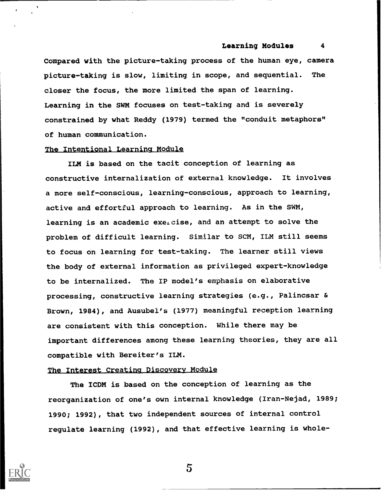Compared with the picture-taking process of the human eye, camera picture-taking is slow, limiting in scope, and sequential. The closer the focus, the more limited the span of learning. Learning in the SWM focuses on test-taking and is severely constrained by what Reddy (1979) termed the "conduit metaphors" of human communication.

# The Intentional Learning Module

ILM is based on the tacit conception of learning as constructive internalization of external knowledge. It involves a more self-conscious, learning-conscious, approach to learning, active and effortful approach to learning. As in the SWM, learning is an academic exercise, and an attempt to solve the problem of difficult learning. Similar to SCM, ILM still seems to focus on learning for test-taking. The learner still views the body of external information as privileged expert-knowledge to be internalized. The IP model's emphasis on elaborative processing, constructive learning strategies (e.g., Palincsar & Brown, 1984), and Ausubel's (1977) meaningful reception learning are consistent with this conception. While there may be important differences among these learning theories, they are all compatible with Bereiter's ILM.

## The Interest Creating Discovery Module

The ICDM is based on the conception of learning as the reorganization of one's own internal knowledge (Iran-Nejad, 1989; 1990; 1992), that two independent sources of internal control regulate learning (1992), and that effective learning is whole-

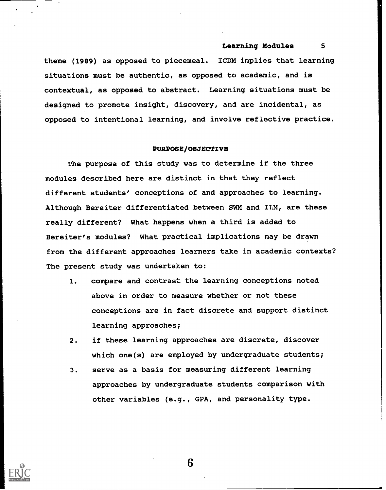theme (1989) as opposed to piecemeal. ICDM implies that learning situations must be authentic, as opposed to academic, and is contextual, as opposed to abstract. Learning situations must be designed to promote insight, discovery, and are incidental, as opposed to intentional learning, and involve reflective practice.

## PURPOSE/OBJECTIVE

The purpose of this study was to determine if the three modules described here are distinct in that they reflect different students' conceptions of and approaches to learning. Although Bereiter differentiated between SWM and ILM, are these really different? What happens when a third is added to Bereiter's modules? What practical implications may be drawn from the different approaches learners take in academic contexts? The present study was undertaken to:

- 1. compare and contrast the learning conceptions noted above in order to measure whether or not these conceptions are in fact discrete and support distinct learning approaches;
- 2. if these learning approaches are discrete, discover which one(s) are employed by undergraduate students;
- 3. serve as a basis for measuring different learning approaches by undergraduate students comparison with other variables (e.g., GPA, and personality type.

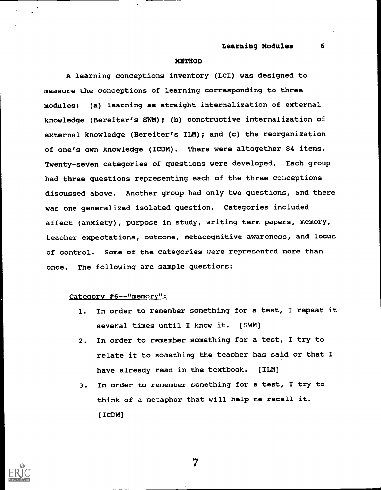#### **METHOD**

A learning conceptions inventory (LCI) was designed to measure the conceptions of learning corresponding to three modules: (a) learning as straight internalization of external knowledge (Bereiter's SWM); (b) constructive internalization of external knowledge (Bereiter's ILM); and (c) the reorganization of one's own knowledge (ICDM). There were altogether 84 items. Twenty-seven categories of questions were developed. Each group had three questions representing each of the three conceptions discussed above. Another group had only two questions, and there was one generalized isolated question. Categories included affect (anxiety), purpose in study, writing term papers, memory, teacher expectations, outcome, metacognitive awareness, and locus of control. Some of the categories were represented more than once. The following are sample questions:

## Category #6 -- "memory":

- 1. In order to remember something for a test, I repeat it several times until I know it. [SWM]
- 2. In order to remember something for a test, I try to relate it to something the teacher has said or that I have already read in the textbook. (ILM)
- 3. In order to remember something for a test, I try to think of a metaphor that will help me recall it. (ICDM]

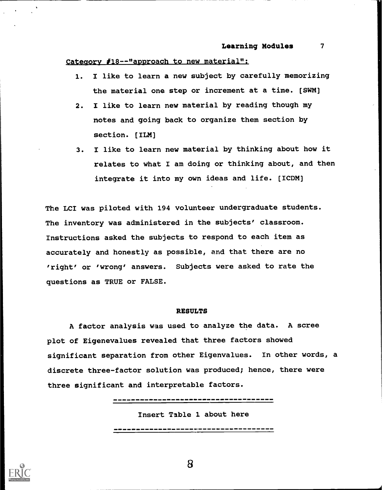#### Category #18--"approach to new material":

- 1. I like to learn a new subject by carefully memorizing the material one step or increment at a time. (SWM)
- 2. I like to learn new material by reading though my notes and going back to organize them section by section. (ILM)
- 3. I like to learn new material by thinking about how it relates to what I am doing or thinking about, and then integrate it into my own ideas and life. [ICDM)

The LCI was piloted with 194 volunteer undergraduate students. The inventory was administered in the subjects' classroom. Instructions asked the subjects to respond to each item as accurately and honestly as possible, and that there are no 'right' or 'wrong' answers. Subjects were asked to rate the questions as TRUE or FALSE.

## RESULTS

A factor analysis was used to analyze the data. A scree plot of Eigenevalues revealed that three factors showed significant separation from other Eigenvalues. In other words, a discrete three-factor solution was produced; hence, there were three significant and interpretable factors.

--------------------------------------

Insert Table 1 about here

-------------------------------

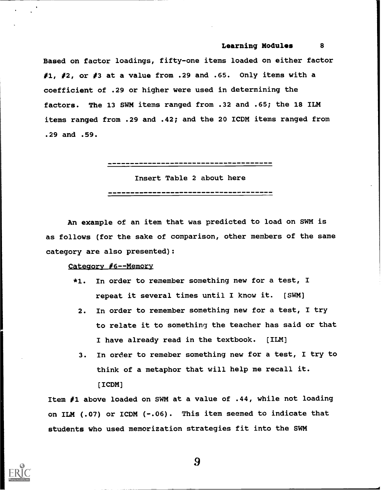Based on factor loadings, fifty-one items loaded on either factor #1, #2, or #3 at a value from .29 and .65. Only items with a coefficient of .29 or higher were used in determining the factors. The 13 SWM items ranged from .32 and .65; the 18 ILM items ranged from .29 and .42; and the 20 ICDM items ranged from .29 and .59.

------------------------------------

Insert Table 2 about here

An example of an item that was predicted to load on SWM is as follows (for the sake of comparison, other members of the same category are also presented):

## Category #6--Memory

- \*1. In order to remember something new for a test, I repeat it several times until I know it. [SWM]
	- 2. In order to remember something new for a test, I try to relate it to something the teacher has said or that I have already read in the textbook. (ILM)
	- 3. In order to remeber something new for a test, I try to think of a metaphor that will help me recall it. [ICDM]

Item #1 above loaded on SWM at a value of .44, while not loading on ILM (.07) or ICDM (-.06). This item seemed to indicate that students who used memorization strategies fit into the SWM

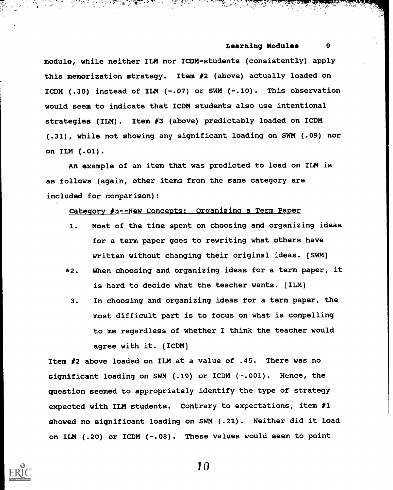module, while neither ILM nor ICDM-students (consistently) apply this memorization strategy. Item #2 (above) actually loaded on ICDM (.30) instead of ILM  $(-.07)$  or SWM  $(-.10)$ . This observation would seem to indicate that ICDM students also use intentional strategies (ILM). Item #3 (above) predictably loaded on ICDM (.31), while not showing any significant loading on SWM (.09) nor on ILM (.01).

An example of an item that was predicted to load on ILM is as follows (again, other items from the same category are included for comparison):

## Category #5--New Concepts: Organizing a Term Paper

- 1. Most of the time spent on choosing and organizing ideas for a term paper goes to rewriting what others have written without changing their original ideas. (SWM)
- \*2. When choosing and organizing ideas for a term paper, it is hard to decide what the teacher wants. [ILM)
	- 3. In choosing and organizing ideas for a term paper, the most difficult part is to focus on what is compelling to me regardless of whether I think the teacher would agree with it. [ICDM]

Item #2 above loaded on ILM at a value of .45. There was no significant loading on SWM (.19) or ICDM (-.001). Hence, the question seemed to appropriately identify the type of strategy expected with ILM students. Contrary to expectations, item  $#1$ showed no significant loading on SWM (.21). Neither did it load on ILM (.20) or ICDM (-.08). These values would seem to point

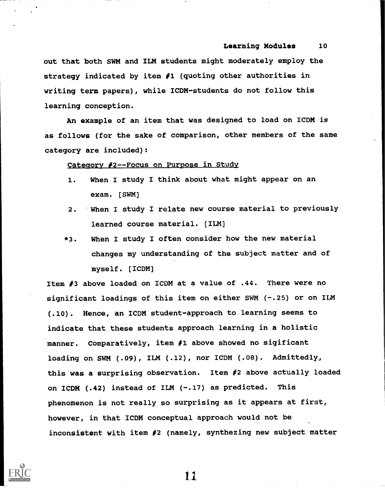out that both SWM and ILM students might moderately employ the strategy indicated by item  $\#1$  (quoting other authorities in writing term papers), while ICDM-students do not follow this learning conception.

An example of an item that was designed to load on ICDM is as follows (for the sake of comparison, other members of the same category are included):

## Category #2--Focus on Purpose in Study

- 1. When I study I think about what might appear on an exam. [SWM]
- 2. When I study I relate new course material to previously learned course material. [ILM]
- \*3. When I study I often consider how the new material changes my understanding of the subject matter and of myself. [ICDM]

Item #3 above loaded on ICDM at a value of .44. There were no significant loadings of this item on either SWM (-.25) or on ILM (.10). Hence, an ICDM student-approach to learning seems to indicate that these students approach learning in a holistic manner. Comparatively, item  $#1$  above showed no sigificant loading on SWM (.09), ILM (.12), nor ICDM (.08). Admittedly, this was a surprising observation. Item #2 above actually loaded on ICDM  $(.42)$  instead of ILM  $(-.17)$  as predicted. This phenomenon is not really so surprising as it appears at first, however, in that ICDM conceptual approach would not be inconsistent with item #2 (namely, synthezing new subject matter



ii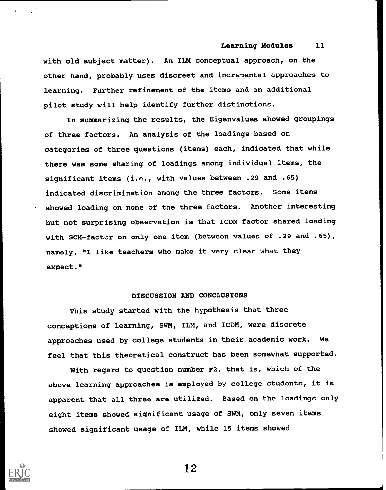with old subject matter). An ILM conceptual approach, on the other hand, probably uses discreet and incremental approaches to learning. Further refinement of the items and an additional pilot study will help identify further distinctions.

In summarizing the results, the Eigenvalues showed groupings of three factors. An analysis of the loadings based on categories of three questions (items) each, indicated that while there was some sharing of loadings among individual items, the significant items (i.e., with values between .29 and .65) indicated discrimination among the three factors. Some items showed loading on none of the three factors. Another interesting but not surprising observation is that ICDM factor shared loading with SCM-factor on only one item (between values of .29 and .65), namely, "I like teachers who make it very clear what they expect."

# DISCUSSION AND CONCLUSIONS

This study started with the hypothesis that three conceptions of learning, SWM, ILM, and ICDM, were discrete approaches used by college students in their academic work. We feel that this theoretical construct has been somewhat supported.

With regard to question number #2, that is, which of the above learning approaches is employed by college students, it is apparent that all three are utilized. Based on the loadings only eight items showed significant usage of SWM, only seven items showed significant usage of ILM, while 15 items showed

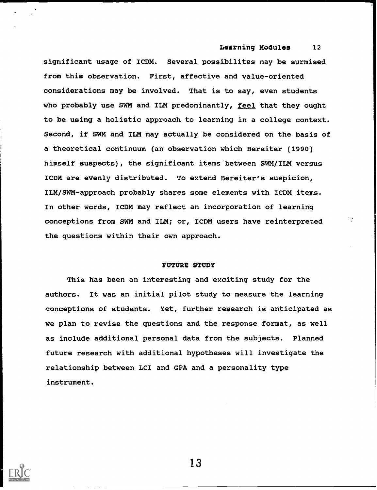significant usage of ICDM. Several possibilites may be surmised from this observation. First, affective and value-oriented considerations may be involved. That is to say, even students who probably use SWM and ILM predominantly, feel that they ought to be using a holistic approach to learning in a college context. Second, if SWM and ILM may actually be considered on the basis of a theoretical continuum (an observation which Bereiter [1990] himself suspects), the significant items between SWM/ILM versus ICDM are evenly distributed. To extend Bereiter's suspicion, ILM/SWM-approach probably shares some elements with ICDM items. In other words, ICDM may reflect an incorporation of learning conceptions from SWM and ILM; or, ICDM users have reinterpreted the questions within their own approach.

## FUTURE STUDY

This has been an interesting and exciting study for the authors. It was an initial pilot study to measure the learning conceptions of students. Yet, further research is anticipated as we plan to revise the questions and the response format, as well as include additional personal data from the subjects. Planned future research with additional hypotheses will investigate the relationship between LCI and GPA and a personality type instrument.

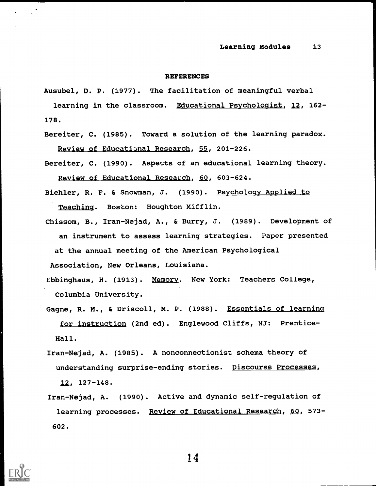#### REFERENCES

Ausubel, D. P. (1977). The facilitation of meaningful verbal

learning in the classroom. Educational Psychologist, 12, 162-178.

Bereiter, C. (1985). Toward a solution of the learning paradox. Review of Educational Research, 55, 201-226.

Bereiter, C. (1990). Aspects of an educational learning theory. Review of Educational Research, 60, 603-624.

- Biehler, R. F. & Snowman, J. (1990). Psychology Applied to Teaching. Boston: Houghton Mifflin.
- Chissom, B., Iran-Nejad, A., & Burry, J. (1989). Development of an instrument to assess learning strategies. Paper presented at the annual meeting of the American Psychological Association, New Orleans, Louisiana.

Ebbinghaus, H. (1913). Memory. New York: Teachers College, Columbia University.

Gagne, R. M., & Driscoll, M. P. (1988). Essentials of learning for instruction (2nd ed). Englewood Cliffs, NJ: Prentice-Hall.

Iran-Nejad, A. (1985). A nonconnectionist schema theory of understanding surprise-ending stories. Discourse Processes,  $12, 127 - 148.$ 

Iran-Nejad, A. (1990). Active and dynamic self-regulation of learning processes. Review of Educational Research, 60, 573-602.

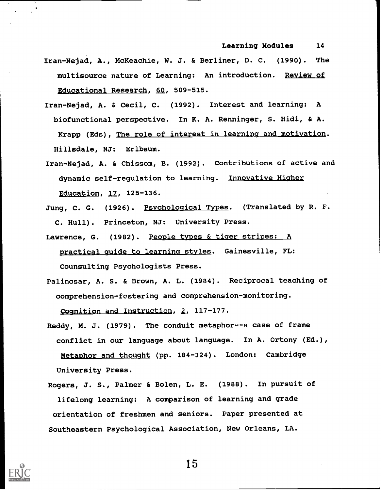- Iran-Nejad, A., McKeachie, W. J. & Berliner, D. C. (1990). The multisource nature of Learning: An introduction. Review of Educational Research, 60, 509-515.
- Iran-Nejad, A. & Cecil, C. (1992). Interest and learning: A biofunctional perspective. In K. A. Renninger, S. Hidi, & A. Krapp (Eds), The role of interest in learning and motivation. Hillsdale, NJ: Erlbaum.
- Iran-Nejad, A. & Chissom, B. (1992). Contributions of active and dynamic self-regulation to learning. Innovative Higher Education, 12, 125-136.
- Jung, C. G. (1926). Psychological Types. (Translated by R. F. C. Hull). Princeton, NJ: University Press.
- Lawrence, G. (1982). People types & tiger stripes: A practical guide to learning styles. Gainesville, FL: Counsulting Psychologists Press.
- Palincsar, A. S. & Brown, A. L. (1984). Reciprocal teaching of comprehension-fostering and comprehension-monitoring. Cognition and Instruction, 2, 117-177.
- Reddy, M. J. (1979). The conduit metaphor--a case of frame conflict in our language about language. In A. Ortony (Ed.), Metaphor and thought (pp. 184-324). London: Cambridge University Press.
- Rogers, J. S., Palmer & Bolen, L. E. (1988). In pursuit of lifelong learning: A comparison of learning and grade orientation of freshmen and seniors. Paper presented at Southeastern Psychological Association, New Orleans, LA.

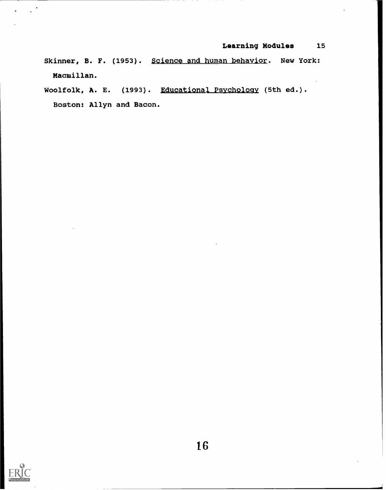Skinner, B. F. (1953). Science and human behavior. New York: Macmillan.

Woolfolk, A. E. (1993). Educational Psychology (5th ed.). Boston: Allyn and Bacon.

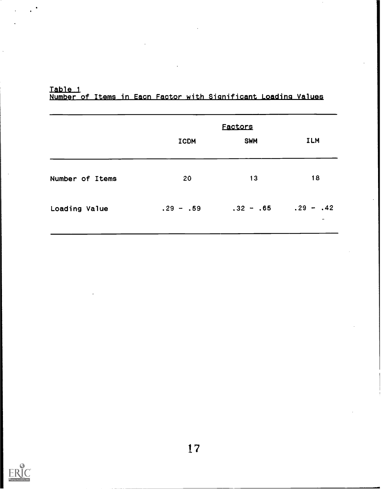Table 1 Number of Items in Eacn Factor with Significant Loading Values

|                 | <b>Factors</b> |                         |            |  |
|-----------------|----------------|-------------------------|------------|--|
|                 | <b>ICDM</b>    | <b>SWM</b>              | <b>ILM</b> |  |
| Number of Items | 20             | 13                      | 18         |  |
| Loading Value   | $.29 - .59$    | $.32 - .65$ $.29 - .42$ |            |  |